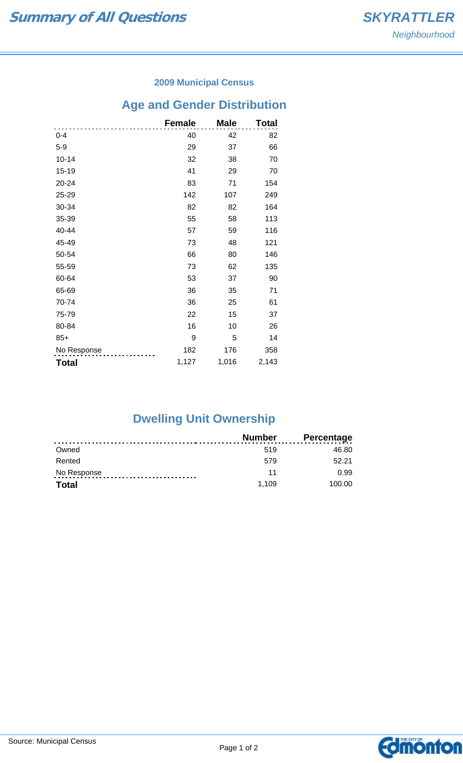#### **2009 Municipal Census**

# **Age and Gender Distribution**

|              | <b>Female</b> | <b>Male</b> | Total |
|--------------|---------------|-------------|-------|
| $0 - 4$      | 40            | 42          | 82    |
| $5-9$        | 29            | 37          | 66    |
| $10 - 14$    | 32            | 38          | 70    |
| 15-19        | 41            | 29          | 70    |
| 20-24        | 83            | 71          | 154   |
| 25-29        | 142           | 107         | 249   |
| 30-34        | 82            | 82          | 164   |
| 35-39        | 55            | 58          | 113   |
| 40-44        | 57            | 59          | 116   |
| 45-49        | 73            | 48          | 121   |
| 50-54        | 66            | 80          | 146   |
| 55-59        | 73            | 62          | 135   |
| 60-64        | 53            | 37          | 90    |
| 65-69        | 36            | 35          | 71    |
| 70-74        | 36            | 25          | 61    |
| 75-79        | 22            | 15          | 37    |
| 80-84        | 16            | 10          | 26    |
| $85+$        | 9             | 5           | 14    |
| No Response  | 182           | 176         | 358   |
| <b>Total</b> | 1,127         | 1,016       | 2,143 |

## **Dwelling Unit Ownership**

|              | <b>Number</b> | <b>Percentage</b> |
|--------------|---------------|-------------------|
| Owned        | 519           | 46.80             |
| Rented       | 579           | 52.21             |
| No Response  | 11            | 0.99              |
| <b>Total</b> | 1.109         | 100.00            |